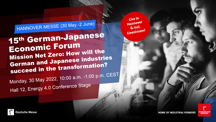Live in Hannover  $\alpha$  incl. Livestream!

HANNOVER MESSE (30 May -2 June)

15th German-Japanese Economic Forum **ECONOMILE POPPERTY**<br>Mission Net Zero: How will the **Mission Net Zero: 11011 1121**<br>German and Japanese industries<br>Cerman and Japanese industries **German and Japanese Internation?** 

Monday, 30 May 2022, 10:00 a.m. -1:00 p.m. CEST Hall 12, Energy 4.0 Conference Stage



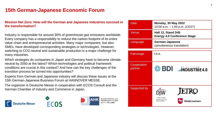# **15th German-Japanese Economic Forum**

#### **Mission Net Zero: How will the German and Japanese industries succeed in the transformation?**

Industry is responsible for around 30% of greenhouse gas emissions worldwide. Every company has a responsibility to reduce the carbon footprint of its entire value chain and entrepreneurial activities. Many major companies, but also SMEs, have developed corresponding strategies or technologies. However, switching to CO2-neutral and sustainable production is a major challenge for many industries.

Which strategies do companies in Japan and Germany have to become climateneutral by 2050 at the latest? Which technologies and political framework conditions are crucial in this context? And how can the key challenges of the transition process be turned into opportunities?

Experts from German and Japanese industry will discuss these issues at the 15th German-Japanese Business Forum at HANNOVER MESSE.

The organizer is Deutsche Messe in cooperation with ECOS Consult and the German Chamber of Industry and Commerce in Japan.

**Deutsche Messe** 





Deutsche Industrie- und<br>Handelskammer in Japan

| Date                   | <b>Monday, 30 May 2022</b><br>10:00 a.m. $-$ 1:00 p.m. (CEST) |
|------------------------|---------------------------------------------------------------|
| Venue                  | Hall 12, Stand D45<br><b>Energy 4.0 Conference Stage</b>      |
| Language               | German-Japanese<br>(simultaneous translation)                 |
| Patronage              | t.b.a.                                                        |
| Cooperation<br>partner | 參 BDI <b>JUINDUSTRIE4.0</b>                                   |
|                        |                                                               |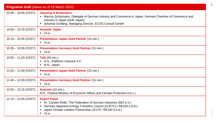| <b>Programm draft</b> (status as of 15 March 2022) |                                                                                                                                                                                                                                                                          |
|----------------------------------------------------|--------------------------------------------------------------------------------------------------------------------------------------------------------------------------------------------------------------------------------------------------------------------------|
| $10:00 - 10:05$ (CEST)                             | <b>Opening &amp; Moderation</b><br>• Marcus Schürmann, Delegate of German Industry and Commerce in Japan, German Chamber of Commerce and<br>Industry in Japan (AHK Japan)<br>Johanna Schilling, Managing Director, ECOS Consult GmbH                                     |
| $10:05 - 10:15$ (CEST)                             | <b>Keynote Japan</b><br>$\blacksquare$ t.b.a.                                                                                                                                                                                                                            |
| $10:15 - 10:35$ (CEST)                             | <b>Presentation Japan Gold Partner (15 min.)</b><br>$\blacksquare$ t.b.a.                                                                                                                                                                                                |
| $10:35 - 10:55$ (CEST)                             | <b>Presentation Germany Gold Partner (15 min.)</b><br>$\blacksquare$ t.b.a.                                                                                                                                                                                              |
| $10:55 - 11:20$ (CEST)                             | <b>Talk</b> (20 min.)<br>• N.N., Plattform Industrie 4.0<br>$\blacksquare$ N.N., Japan                                                                                                                                                                                   |
| $11:20 - 11:40$ (CEST)                             | <b>Presentation Japan Gold Partner (15 min.)</b><br>$\blacksquare$ t.b.a.                                                                                                                                                                                                |
| $11:40 - 12:00$ (CEST)                             | <b>Presentation Germany Gold Partner (15 min.)</b><br>$\blacksquare$ t.b.a.                                                                                                                                                                                              |
| $12:00 - 12:15$ (CEST)                             | Keynote (10 min.)<br>N.N., Federal Ministry of Economic Affairs and Climate Protection (t.b.c.)                                                                                                                                                                          |
| $12:15 - 12:55$ (CEST)                             | <b>Expert Panel</b><br>• Dr. Carsten Rolle, The Federation of German Industries (BDI e.V.)<br>German-Japanese Energy Transition Council (GJETC) / RE100 (t.b.d.)<br>Japan Climate Leaders Partnership (JCLP) / RE100 (t.b.d.)<br>$\blacksquare$<br>$\blacksquare$ t.b.a. |

3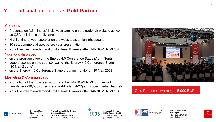## Your participation option as **Gold Partner**

#### Company presence

- Presentation (15 minutes) incl. livestreaming on the trade fair website as well as Q&A tool during the livestream
- Highlighting of your speaker on the website as a highlight speaker
- 30 sec. commercial spot before your presentation
- Your livestream on-demand until at least 8 weeks after HANNOVER MESSE

#### Your logo displayed…

- on the program page of the Energy 4.0 Conference Stage (Apr Sept)
- Logo presence on the sponsor wall of the Energy 4.0 Conference Stage (30 May-2 June)
- on the Energy 4.0 Conference Stage program monitor on 30 May 2022

#### Marketing & Communication

Messegelände

Germany

- Promotion of the Business Forum via the HANNOVER MESSE e-mail newsletter (230,000 subscribers worldwide, 04/22) and social media channels
- Your livestream on-demand until at least 8 weeks after HANNOVER MESSE



### Gold Partner (4 available) 5,900 EUR



Deutsche Messe 30521 Hannover **Andrea Busch / Heike Breuste Deutsche Messe** Tel. +49 511 89-31288 / -31606 Hannovermesse.dailyfair@messe.de



**Johanna Schilling ECOS Consult GmbH** Tel. +49 541 911 909 90 jschilling@ecos-eu.com



**Marcus Schürmann AHK Japan** Tel. +81 3 5276-8723 mnyui@dihkj.or.jp

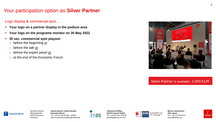# Your participation option as **Silver Partner**

### Logo display & commercial spot….

- **Your logo on a partner display in the podium area**
- **Your logo on the programe monitor on 30 May 2022**
- **30 sec. commercial spot playout:** 
	- o before the beginning or
	- o before the talk or
	- o before the expert panel or
	- o at the end of the Economic Forum



### Silver Partner (4 available) 2,000 EUR



Deutsche Messe Messegelände 30521 Hannover Germany

**Andrea Busch / Heike Breuste Deutsche Messe** Tel. +49 511 89-31288 / -31606 Hannovermesse.dailyfair@messe.de



**Johanna Schilling ECOS Consult GmbH** Tel. +49 541 911 909 90 jschilling@ecos-eu.com



**Marcus Schürmann AHK Japan** Tel. +81 3 5276-8723 mnyui@dihkj.or.jp

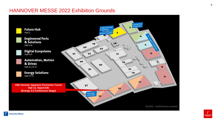## HANNOVER MESSE 2022 Exhibition Grounds

f